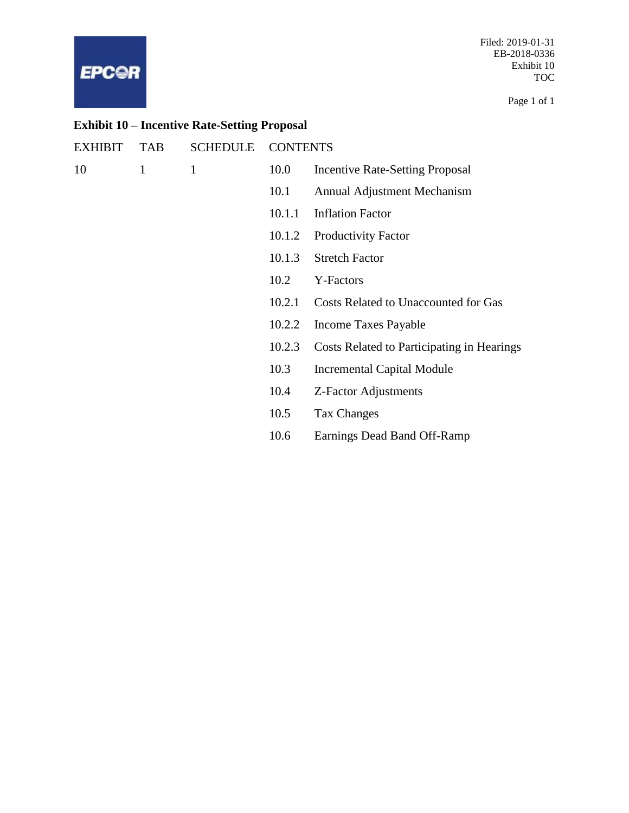**EPC@R** 

Filed: 2019-01-31 EB-2018-0336 Exhibit 10 TOC

Page 1 of 1

# **Exhibit 10 – Incentive Rate-Setting Proposal**

| <b>EXHIBIT</b> | <b>TAB</b> | <b>SCHEDULE</b> | <b>CONTENTS</b> |                                             |
|----------------|------------|-----------------|-----------------|---------------------------------------------|
| 10             | 1          | 1               | 10.0            | <b>Incentive Rate-Setting Proposal</b>      |
|                |            |                 | 10.1            | Annual Adjustment Mechanism                 |
|                |            |                 | 10.1.1          | <b>Inflation Factor</b>                     |
|                |            |                 | 10.1.2          | <b>Productivity Factor</b>                  |
|                |            |                 | 10.1.3          | <b>Stretch Factor</b>                       |
|                |            |                 | 10.2            | Y-Factors                                   |
|                |            |                 | 10.2.1          | <b>Costs Related to Unaccounted for Gas</b> |
|                |            |                 | 10.2.2          | Income Taxes Payable                        |
|                |            |                 | 10.2.3          | Costs Related to Participating in Hearings  |
|                |            |                 | 10.3            | <b>Incremental Capital Module</b>           |
|                |            |                 | 10.4            | Z-Factor Adjustments                        |
|                |            |                 | 10.5            | <b>Tax Changes</b>                          |
|                |            |                 | 10.6            | Earnings Dead Band Off-Ramp                 |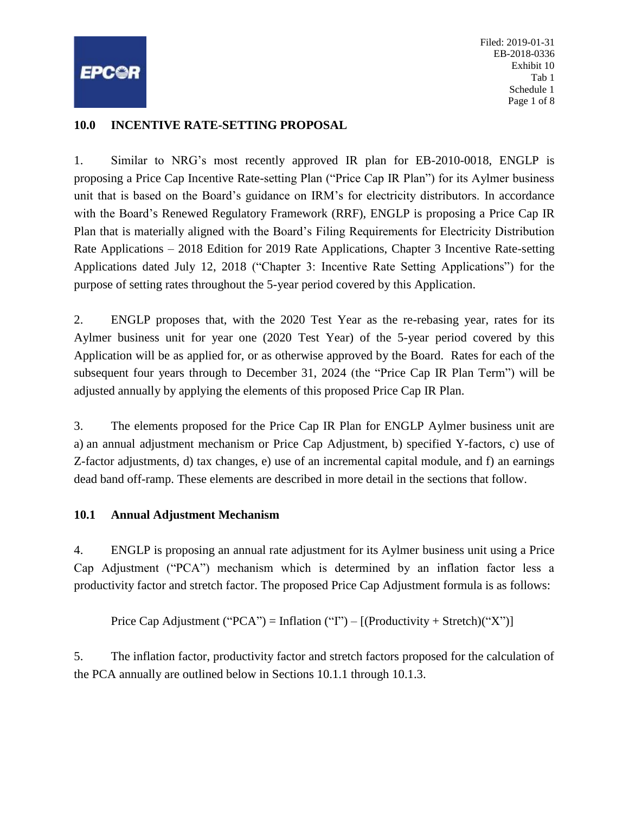<span id="page-1-0"></span>

## **10.0 INCENTIVE RATE-SETTING PROPOSAL**

1. Similar to NRG's most recently approved IR plan for EB-2010-0018, ENGLP is proposing a Price Cap Incentive Rate-setting Plan ("Price Cap IR Plan") for its Aylmer business unit that is based on the Board's guidance on IRM's for electricity distributors. In accordance with the Board's Renewed Regulatory Framework (RRF), ENGLP is proposing a Price Cap IR Plan that is materially aligned with the Board's Filing Requirements for Electricity Distribution Rate Applications – 2018 Edition for 2019 Rate Applications, Chapter 3 Incentive Rate-setting Applications dated July 12, 2018 ("Chapter 3: Incentive Rate Setting Applications") for the purpose of setting rates throughout the 5-year period covered by this Application.

2. ENGLP proposes that, with the 2020 Test Year as the re-rebasing year, rates for its Aylmer business unit for year one (2020 Test Year) of the 5-year period covered by this Application will be as applied for, or as otherwise approved by the Board. Rates for each of the subsequent four years through to December 31, 2024 (the "Price Cap IR Plan Term") will be adjusted annually by applying the elements of this proposed Price Cap IR Plan.

3. The elements proposed for the Price Cap IR Plan for ENGLP Aylmer business unit are a) an annual adjustment mechanism or Price Cap Adjustment, b) specified Y-factors, c) use of Z-factor adjustments, d) tax changes, e) use of an incremental capital module, and f) an earnings dead band off-ramp. These elements are described in more detail in the sections that follow.

#### **10.1 Annual Adjustment Mechanism**

4. ENGLP is proposing an annual rate adjustment for its Aylmer business unit using a Price Cap Adjustment ("PCA") mechanism which is determined by an inflation factor less a productivity factor and stretch factor. The proposed Price Cap Adjustment formula is as follows:

Price Cap Adjustment ("PCA") = Inflation ("I") –  $[(Productivity + Street)("X")]$ 

5. The inflation factor, productivity factor and stretch factors proposed for the calculation of the PCA annually are outlined below in Sections 10.1.1 through 10.1.3.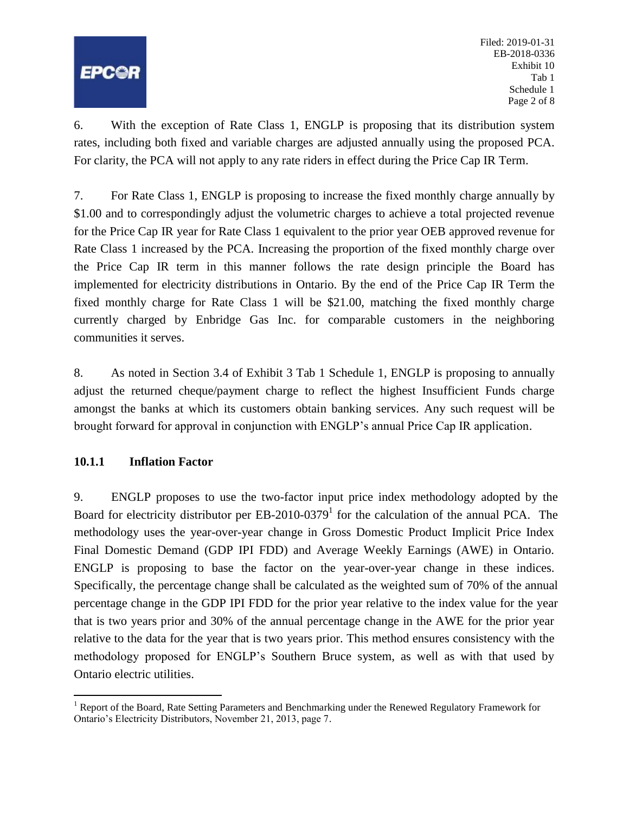<span id="page-2-0"></span>

6. With the exception of Rate Class 1, ENGLP is proposing that its distribution system rates, including both fixed and variable charges are adjusted annually using the proposed PCA. For clarity, the PCA will not apply to any rate riders in effect during the Price Cap IR Term.

7. For Rate Class 1, ENGLP is proposing to increase the fixed monthly charge annually by \$1.00 and to correspondingly adjust the volumetric charges to achieve a total projected revenue for the Price Cap IR year for Rate Class 1 equivalent to the prior year OEB approved revenue for Rate Class 1 increased by the PCA. Increasing the proportion of the fixed monthly charge over the Price Cap IR term in this manner follows the rate design principle the Board has implemented for electricity distributions in Ontario. By the end of the Price Cap IR Term the fixed monthly charge for Rate Class 1 will be \$21.00, matching the fixed monthly charge currently charged by Enbridge Gas Inc. for comparable customers in the neighboring communities it serves.

8. As noted in Section 3.4 of Exhibit 3 Tab 1 Schedule 1, ENGLP is proposing to annually adjust the returned cheque/payment charge to reflect the highest Insufficient Funds charge amongst the banks at which its customers obtain banking services. Any such request will be brought forward for approval in conjunction with ENGLP's annual Price Cap IR application.

# **10.1.1 Inflation Factor**

9. ENGLP proposes to use the two-factor input price index methodology adopted by the Board for electricity distributor per EB-2010-0379<sup>1</sup> for the calculation of the annual PCA. The methodology uses the year-over-year change in Gross Domestic Product Implicit Price Index Final Domestic Demand (GDP IPI FDD) and Average Weekly Earnings (AWE) in Ontario. ENGLP is proposing to base the factor on the year-over-year change in these indices. Specifically, the percentage change shall be calculated as the weighted sum of 70% of the annual percentage change in the GDP IPI FDD for the prior year relative to the index value for the year that is two years prior and 30% of the annual percentage change in the AWE for the prior year relative to the data for the year that is two years prior. This method ensures consistency with the methodology proposed for ENGLP's Southern Bruce system, as well as with that used by Ontario electric utilities.

<sup>&</sup>lt;sup>1</sup> Report of the Board, Rate Setting Parameters and Benchmarking under the Renewed Regulatory Framework for Ontario's Electricity Distributors, November 21, 2013, page 7.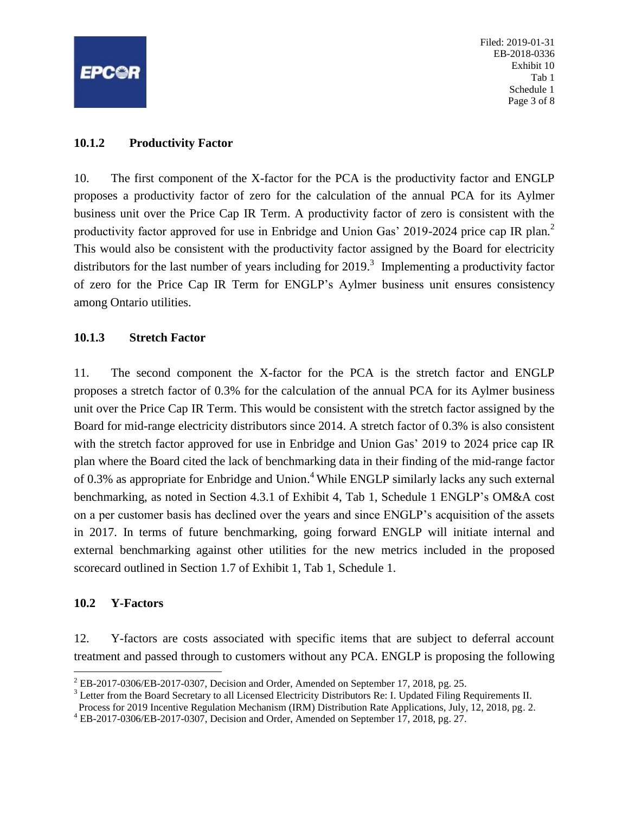<span id="page-3-0"></span>

Filed: 2019-01-31 EB-2018-0336 Exhibit 10 Tab 1 Schedule 1 Page 3 of 8

## **10.1.2 Productivity Factor**

10. The first component of the X-factor for the PCA is the productivity factor and ENGLP proposes a productivity factor of zero for the calculation of the annual PCA for its Aylmer business unit over the Price Cap IR Term. A productivity factor of zero is consistent with the productivity factor approved for use in Enbridge and Union Gas' 2019-2024 price cap IR plan.<sup>2</sup> This would also be consistent with the productivity factor assigned by the Board for electricity distributors for the last number of years including for  $2019$ .<sup>3</sup> Implementing a productivity factor of zero for the Price Cap IR Term for ENGLP's Aylmer business unit ensures consistency among Ontario utilities.

## **10.1.3 Stretch Factor**

11. The second component the X-factor for the PCA is the stretch factor and ENGLP proposes a stretch factor of 0.3% for the calculation of the annual PCA for its Aylmer business unit over the Price Cap IR Term. This would be consistent with the stretch factor assigned by the Board for mid-range electricity distributors since 2014. A stretch factor of 0.3% is also consistent with the stretch factor approved for use in Enbridge and Union Gas' 2019 to 2024 price cap IR plan where the Board cited the lack of benchmarking data in their finding of the mid-range factor of 0.3% as appropriate for Enbridge and Union.<sup>4</sup> While ENGLP similarly lacks any such external benchmarking, as noted in Section 4.3.1 of Exhibit 4, Tab 1, Schedule 1 ENGLP's OM&A cost on a per customer basis has declined over the years and since ENGLP's acquisition of the assets in 2017. In terms of future benchmarking, going forward ENGLP will initiate internal and external benchmarking against other utilities for the new metrics included in the proposed scorecard outlined in Section 1.7 of Exhibit 1, Tab 1, Schedule 1.

#### **10.2 Y-Factors**

 $\overline{a}$ 

12. Y-factors are costs associated with specific items that are subject to deferral account treatment and passed through to customers without any PCA. ENGLP is proposing the following

 $2$  EB-2017-0306/EB-2017-0307, Decision and Order, Amended on September 17, 2018, pg. 25.

<sup>&</sup>lt;sup>3</sup> Letter from the Board Secretary to all Licensed Electricity Distributors Re: I. Updated Filing Requirements II.

Process for 2019 Incentive Regulation Mechanism (IRM) Distribution Rate Applications, July, 12, 2018, pg. 2.

<sup>4</sup> EB-2017-0306/EB-2017-0307, Decision and Order, Amended on September 17, 2018, pg. 27.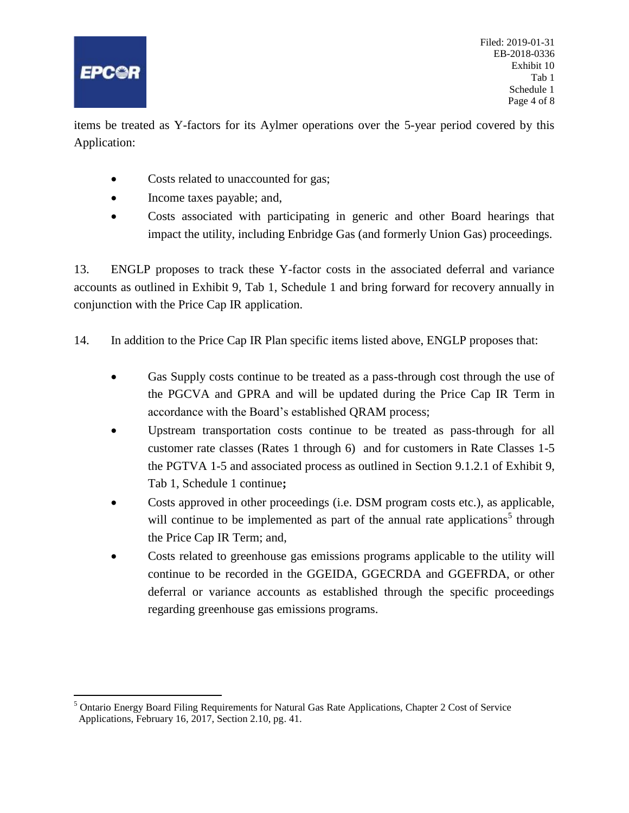

items be treated as Y-factors for its Aylmer operations over the 5-year period covered by this Application:

- Costs related to unaccounted for gas;
- Income taxes payable; and,
- Costs associated with participating in generic and other Board hearings that impact the utility, including Enbridge Gas (and formerly Union Gas) proceedings.

13. ENGLP proposes to track these Y-factor costs in the associated deferral and variance accounts as outlined in Exhibit 9, Tab 1, Schedule 1 and bring forward for recovery annually in conjunction with the Price Cap IR application.

14. In addition to the Price Cap IR Plan specific items listed above, ENGLP proposes that:

- Gas Supply costs continue to be treated as a pass-through cost through the use of the PGCVA and GPRA and will be updated during the Price Cap IR Term in accordance with the Board's established QRAM process;
- Upstream transportation costs continue to be treated as pass-through for all customer rate classes (Rates 1 through 6) and for customers in Rate Classes 1-5 the PGTVA 1-5 and associated process as outlined in Section 9.1.2.1 of Exhibit 9, Tab 1, Schedule 1 continue**;**
- Costs approved in other proceedings (i.e. DSM program costs etc.), as applicable, will continue to be implemented as part of the annual rate applications<sup>5</sup> through the Price Cap IR Term; and,
- Costs related to greenhouse gas emissions programs applicable to the utility will continue to be recorded in the GGEIDA, GGECRDA and GGEFRDA, or other deferral or variance accounts as established through the specific proceedings regarding greenhouse gas emissions programs.

 $\overline{a}$ <sup>5</sup> Ontario Energy Board Filing Requirements for Natural Gas Rate Applications, Chapter 2 Cost of Service Applications, February 16, 2017, Section 2.10, pg. 41.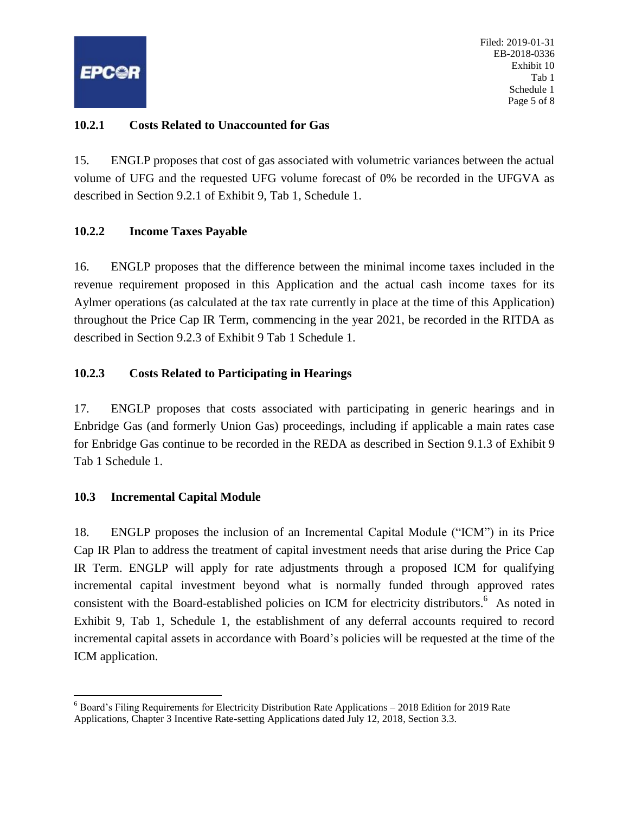<span id="page-5-0"></span>

# **10.2.1 Costs Related to Unaccounted for Gas**

15. ENGLP proposes that cost of gas associated with volumetric variances between the actual volume of UFG and the requested UFG volume forecast of 0% be recorded in the UFGVA as described in Section 9.2.1 of Exhibit 9, Tab 1, Schedule 1.

## **10.2.2 Income Taxes Payable**

16. ENGLP proposes that the difference between the minimal income taxes included in the revenue requirement proposed in this Application and the actual cash income taxes for its Aylmer operations (as calculated at the tax rate currently in place at the time of this Application) throughout the Price Cap IR Term, commencing in the year 2021, be recorded in the RITDA as described in Section 9.2.3 of Exhibit 9 Tab 1 Schedule 1.

## **10.2.3 Costs Related to Participating in Hearings**

17. ENGLP proposes that costs associated with participating in generic hearings and in Enbridge Gas (and formerly Union Gas) proceedings, including if applicable a main rates case for Enbridge Gas continue to be recorded in the REDA as described in Section 9.1.3 of Exhibit 9 Tab 1 Schedule 1.

#### **10.3 Incremental Capital Module**

 $\overline{a}$ 

18. ENGLP proposes the inclusion of an Incremental Capital Module ("ICM") in its Price Cap IR Plan to address the treatment of capital investment needs that arise during the Price Cap IR Term. ENGLP will apply for rate adjustments through a proposed ICM for qualifying incremental capital investment beyond what is normally funded through approved rates consistent with the Board-established policies on ICM for electricity distributors.<sup>6</sup> As noted in Exhibit 9, Tab 1, Schedule 1, the establishment of any deferral accounts required to record incremental capital assets in accordance with Board's policies will be requested at the time of the ICM application.

 $6$  Board's Filing Requirements for Electricity Distribution Rate Applications – 2018 Edition for 2019 Rate Applications, Chapter 3 Incentive Rate-setting Applications dated July 12, 2018, Section 3.3.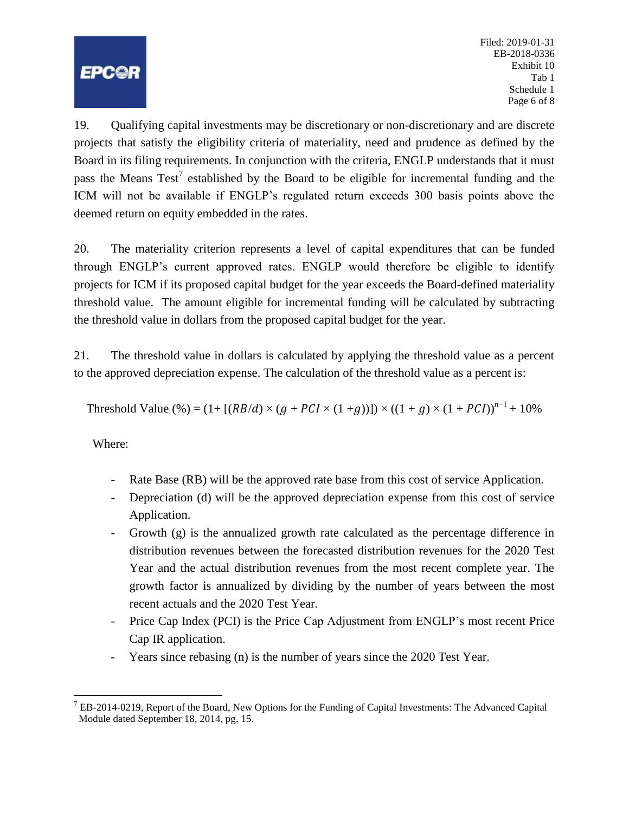

Filed: 2019-01-31 EB-2018-0336 Exhibit 10 Tab 1 Schedule 1 Page 6 of 8

19. Qualifying capital investments may be discretionary or non-discretionary and are discrete projects that satisfy the eligibility criteria of materiality, need and prudence as defined by the Board in its filing requirements. In conjunction with the criteria, ENGLP understands that it must pass the Means  $Test^7$  established by the Board to be eligible for incremental funding and the ICM will not be available if ENGLP's regulated return exceeds 300 basis points above the deemed return on equity embedded in the rates.

20. The materiality criterion represents a level of capital expenditures that can be funded through ENGLP's current approved rates. ENGLP would therefore be eligible to identify projects for ICM if its proposed capital budget for the year exceeds the Board-defined materiality threshold value. The amount eligible for incremental funding will be calculated by subtracting the threshold value in dollars from the proposed capital budget for the year.

21. The threshold value in dollars is calculated by applying the threshold value as a percent to the approved depreciation expense. The calculation of the threshold value as a percent is:

Threshold Value (%) =  $(1+[(RB/d) \times (g + PCI \times (1+g))]) \times ((1+g) \times (1+PCI))^{n-1} + 10\%$ 

Where:

- Rate Base (RB) will be the approved rate base from this cost of service Application.
- Depreciation (d) will be the approved depreciation expense from this cost of service Application.
- Growth (g) is the annualized growth rate calculated as the percentage difference in distribution revenues between the forecasted distribution revenues for the 2020 Test Year and the actual distribution revenues from the most recent complete year. The growth factor is annualized by dividing by the number of years between the most recent actuals and the 2020 Test Year.
- Price Cap Index (PCI) is the Price Cap Adjustment from ENGLP's most recent Price Cap IR application.
- Years since rebasing (n) is the number of years since the 2020 Test Year.

 $\overline{a}$  $7$  EB-2014-0219, Report of the Board, New Options for the Funding of Capital Investments: The Advanced Capital Module dated September 18, 2014, pg. 15.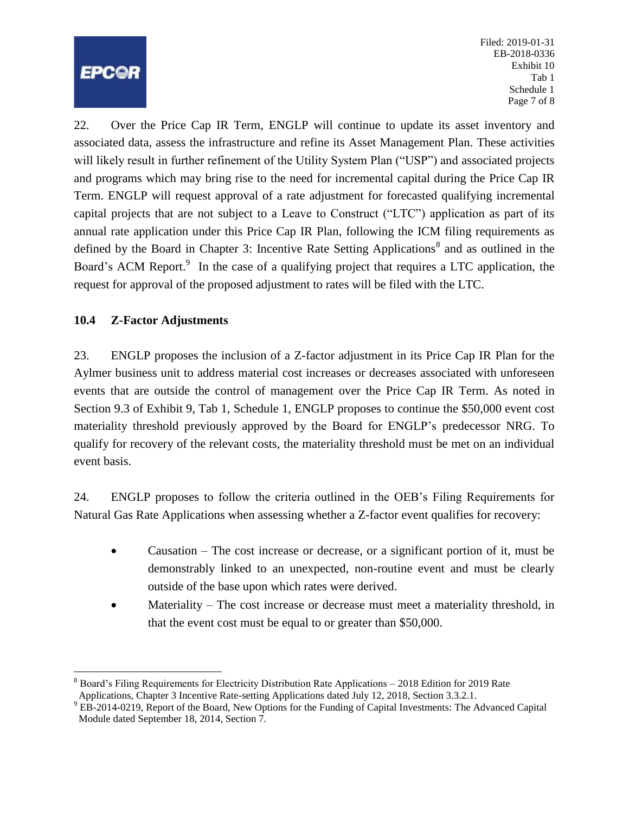<span id="page-7-0"></span>

Filed: 2019-01-31 EB-2018-0336 Exhibit 10 Tab 1 Schedule 1 Page 7 of 8

22. Over the Price Cap IR Term, ENGLP will continue to update its asset inventory and associated data, assess the infrastructure and refine its Asset Management Plan. These activities will likely result in further refinement of the Utility System Plan ("USP") and associated projects and programs which may bring rise to the need for incremental capital during the Price Cap IR Term. ENGLP will request approval of a rate adjustment for forecasted qualifying incremental capital projects that are not subject to a Leave to Construct ("LTC") application as part of its annual rate application under this Price Cap IR Plan, following the ICM filing requirements as defined by the Board in Chapter 3: Incentive Rate Setting Applications<sup>8</sup> and as outlined in the Board's ACM Report.<sup>9</sup> In the case of a qualifying project that requires a LTC application, the request for approval of the proposed adjustment to rates will be filed with the LTC.

# **10.4 Z-Factor Adjustments**

23. ENGLP proposes the inclusion of a Z-factor adjustment in its Price Cap IR Plan for the Aylmer business unit to address material cost increases or decreases associated with unforeseen events that are outside the control of management over the Price Cap IR Term. As noted in Section 9.3 of Exhibit 9, Tab 1, Schedule 1, ENGLP proposes to continue the \$50,000 event cost materiality threshold previously approved by the Board for ENGLP's predecessor NRG. To qualify for recovery of the relevant costs, the materiality threshold must be met on an individual event basis.

24. ENGLP proposes to follow the criteria outlined in the OEB's Filing Requirements for Natural Gas Rate Applications when assessing whether a Z-factor event qualifies for recovery:

- Causation The cost increase or decrease, or a significant portion of it, must be demonstrably linked to an unexpected, non-routine event and must be clearly outside of the base upon which rates were derived.
- Materiality The cost increase or decrease must meet a materiality threshold, in that the event cost must be equal to or greater than \$50,000.

 $\overline{a}$  $8$  Board's Filing Requirements for Electricity Distribution Rate Applications – 2018 Edition for 2019 Rate Applications, Chapter 3 Incentive Rate-setting Applications dated July 12, 2018, Section 3.3.2.1.

<sup>&</sup>lt;sup>9</sup> EB-2014-0219, Report of the Board, New Options for the Funding of Capital Investments: The Advanced Capital Module dated September 18, 2014, Section 7.